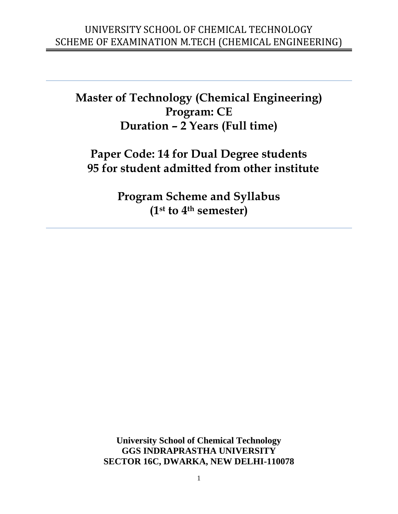**Master of Technology (Chemical Engineering) Program: CE Duration – 2 Years (Full time)**

# **Paper Code: 14 for Dual Degree students 95 for student admitted from other institute**

**Program Scheme and Syllabus (1st to 4th semester)**

**University School of Chemical Technology GGS INDRAPRASTHA UNIVERSITY SECTOR 16C, DWARKA, NEW DELHI-110078**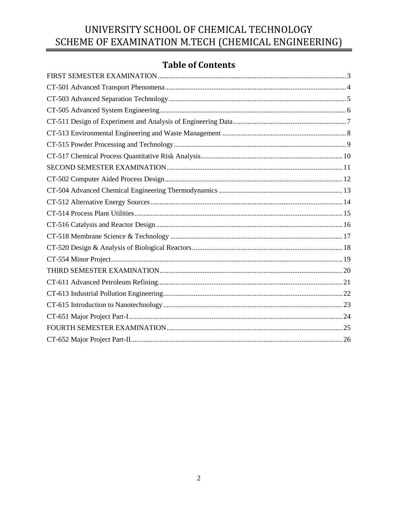# **Table of Contents**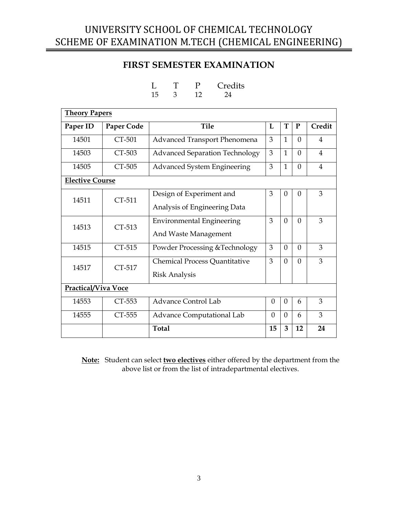### **FIRST SEMESTER EXAMINATION**

L T P Credits

<span id="page-2-0"></span>

|                        |            | 15<br>12<br>3<br>24                   |          |              |          |                |
|------------------------|------------|---------------------------------------|----------|--------------|----------|----------------|
| <b>Theory Papers</b>   |            |                                       |          |              |          |                |
| Paper ID               | Paper Code | <b>Tile</b>                           | L        | T            | P        | Credit         |
| 14501                  | CT-501     | Advanced Transport Phenomena          | 3        | $\mathbf{1}$ | $\Omega$ | 4              |
| 14503                  | CT-503     | <b>Advanced Separation Technology</b> | 3        | $\mathbf{1}$ | $\Omega$ | $\overline{4}$ |
| 14505                  | CT-505     | Advanced System Engineering           | 3        | $\mathbf{1}$ | $\theta$ | 4              |
| <b>Elective Course</b> |            |                                       |          |              |          |                |
| 14511                  | CT-511     | Design of Experiment and              | 3        | $\Omega$     | $\Omega$ | 3              |
|                        |            | Analysis of Engineering Data          |          |              |          |                |
| 14513                  | CT-513     | <b>Environmental Engineering</b>      | 3        | $\Omega$     | $\theta$ | 3              |
|                        |            | And Waste Management                  |          |              |          |                |
| 14515                  | CT-515     | Powder Processing & Technology        | 3        | $\Omega$     | $\Omega$ | 3              |
| 14517                  | CT-517     | Chemical Process Quantitative         | 3        | $\Omega$     | $\theta$ | 3              |
|                        |            | <b>Risk Analysis</b>                  |          |              |          |                |
| Practical/Viva Voce    |            |                                       |          |              |          |                |
| 14553                  | CT-553     | <b>Advance Control Lab</b>            | $\Omega$ | $\Omega$     | 6        | 3              |
| 14555                  | CT-555     | <b>Advance Computational Lab</b>      | $\Omega$ | $\Omega$     | 6        | 3              |
|                        |            | <b>Total</b>                          | 15       | 3            | 12       | 24             |

**Note:** Student can select **two electives** either offered by the department from the above list or from the list of intradepartmental electives.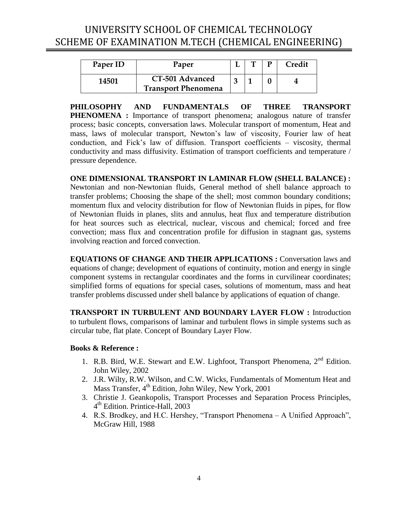<span id="page-3-0"></span>

| Paper ID | Paper                                         |  | Credit |
|----------|-----------------------------------------------|--|--------|
| 14501    | CT-501 Advanced<br><b>Transport Phenomena</b> |  |        |

**PHILOSOPHY AND FUNDAMENTALS OF THREE TRANSPORT PHENOMENA** : Importance of transport phenomena; analogous nature of transfer process; basic concepts, conversation laws. Molecular transport of momentum, Heat and mass, laws of molecular transport, Newton's law of viscosity, Fourier law of heat conduction, and Fick's law of diffusion. Transport coefficients – viscosity, thermal conductivity and mass diffusivity. Estimation of transport coefficients and temperature / pressure dependence.

**ONE DIMENSIONAL TRANSPORT IN LAMINAR FLOW (SHELL BALANCE) :**  Newtonian and non-Newtonian fluids, General method of shell balance approach to transfer problems; Choosing the shape of the shell; most common boundary conditions; momentum flux and velocity distribution for flow of Newtonian fluids in pipes, for flow of Newtonian fluids in planes, slits and annulus, heat flux and temperature distribution for heat sources such as electrical, nuclear, viscous and chemical; forced and free convection; mass flux and concentration profile for diffusion in stagnant gas, systems involving reaction and forced convection.

**EQUATIONS OF CHANGE AND THEIR APPLICATIONS :** Conversation laws and equations of change; development of equations of continuity, motion and energy in single component systems in rectangular coordinates and the forms in curvilinear coordinates; simplified forms of equations for special cases, solutions of momentum, mass and heat transfer problems discussed under shell balance by applications of equation of change.

**TRANSPORT IN TURBULENT AND BOUNDARY LAYER FLOW :** Introduction to turbulent flows, comparisons of laminar and turbulent flows in simple systems such as circular tube, flat plate. Concept of Boundary Layer Flow.

- 1. R.B. Bird, W.E. Stewart and E.W. Lighfoot, Transport Phenomena, 2<sup>nd</sup> Edition. John Wiley, 2002
- 2. J.R. Wilty, R.W. Wilson, and C.W. Wicks, Fundamentals of Momentum Heat and Mass Transfer, 4<sup>th</sup> Edition, John Wiley, New York, 2001
- 3. Christie J. Geankopolis, Transport Processes and Separation Process Principles, 4 th Edition. Printice-Hall, 2003
- 4. R.S. Brodkey, and H.C. Hershey, "Transport Phenomena A Unified Approach", McGraw Hill, 1988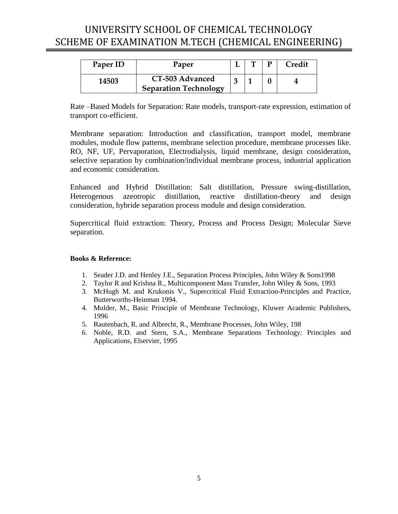<span id="page-4-0"></span>

| Paper ID | Paper                                           |  | Credit |
|----------|-------------------------------------------------|--|--------|
| 14503    | CT-503 Advanced<br><b>Separation Technology</b> |  |        |

Rate –Based Models for Separation: Rate models, transport-rate expression, estimation of transport co-efficient.

Membrane separation: Introduction and classification, transport model, membrane modules, module flow patterns, membrane selection procedure, membrane processes like. RO, NF, UF, Pervaporation, Electrodialysis, liquid membrane, design consideration, selective separation by combination/individual membrane process, industrial application and economic consideration.

Enhanced and Hybrid Distillation: Salt distillation, Pressure swing-distillation, Heterogenous azeotropic distillation, reactive distillation-theory and design consideration, hybride separation process module and design consideration.

Supercritical fluid extraction: Theory, Process and Process Design; Molecular Sieve separation.

- 1. Seader J.D. and Henley J.E., Separation Process Principles, John Wiley & Sons1998
- 2. Taylor R and Krishna R., Multicomponent Mass Transfer, John Wiley & Sons, 1993
- 3. McHugh M. and Krukonis V., Supercritical Fluid Extraction-Principles and Practice, Butterworths-Heinman 1994.
- 4. Mulder, M., Basic Principle of Membrane Technology, Kluwer Academic Publishers, 1996
- 5. Rautenbach, R. and Albrecht, R., Membrane Processes, John Wiley, 198
- 6. Noble, R.D. and Stern, S.A., Membrane Separations Technology: Principles and Applications, Elservier, 1995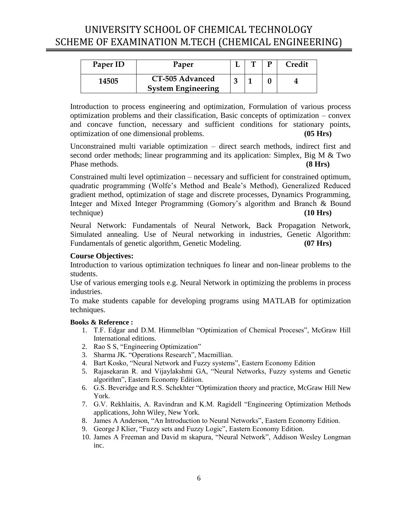<span id="page-5-0"></span>

| Paper ID | Paper                                        |  | Credit |
|----------|----------------------------------------------|--|--------|
| 14505    | CT-505 Advanced<br><b>System Engineering</b> |  |        |

Introduction to process engineering and optimization, Formulation of various process optimization problems and their classification, Basic concepts of optimization – convex and concave function, necessary and sufficient conditions for stationary points, optimization of one dimensional problems. **(05 Hrs)**

Unconstrained multi variable optimization – direct search methods, indirect first and second order methods; linear programming and its application: Simplex, Big M & Two Phase methods. **(8 Hrs)**

Constrained multi level optimization – necessary and sufficient for constrained optimum, quadratic programming (Wolfe's Method and Beale's Method), Generalized Reduced gradient method, optimization of stage and discrete processes, Dynamics Programming, Integer and Mixed Integer Programming (Gomory's algorithm and Branch & Bound technique) **(10 Hrs)**

Neural Network: Fundamentals of Neural Network, Back Propagation Network, Simulated annealing. Use of Neural networking in industries, Genetic Algorithm: Fundamentals of genetic algorithm, Genetic Modeling. **(07 Hrs)**

#### **Course Objectives:**

Introduction to various optimization techniques fo linear and non-linear problems to the students.

Use of various emerging tools e.g. Neural Network in optimizing the problems in process industries.

To make students capable for developing programs using MATLAB for optimization techniques.

- 1. T.F. Edgar and D.M. Himmelblan "Optimization of Chemical Proceses", McGraw Hill International editions.
- 2. Rao S S, "Engineering Optimization"
- 3. Sharma JK. "Operations Research", Macmillian.
- 4. Bart Kosko, "Neural Network and Fuzzy systems", Eastern Economy Edition
- 5. Rajasekaran R. and Vijaylakshmi GA, "Neural Networks, Fuzzy systems and Genetic algorithm", Eastern Economy Edition.
- 6. G.S. Beveridge and R.S. Schekhter "Optimization theory and practice, McGraw Hill New York.
- 7. G.V. Rekhlaitis, A. Ravindran and K.M. Ragidell "Engineering Optimization Methods applications, John Wiley, New York.
- 8. James A Anderson, "An Introduction to Neural Networks", Eastern Economy Edition.
- 9. George J Klier, "Fuzzy sets and Fuzzy Logic", Eastern Economy Edition.
- 10. James A Freeman and David m skapura, "Neural Network", Addison Wesley Longman inc.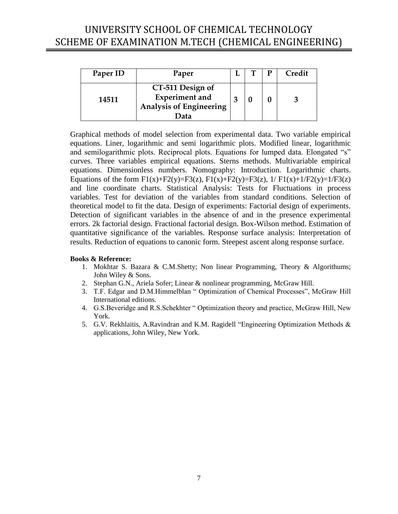<span id="page-6-0"></span>

| Paper ID | Paper                                                                               |  | Credit |
|----------|-------------------------------------------------------------------------------------|--|--------|
| 14511    | CT-511 Design of<br><b>Experiment</b> and<br><b>Analysis of Engineering</b><br>Data |  |        |

Graphical methods of model selection from experimental data. Two variable empirical equations. Liner, logarithmic and semi logarithmic plots. Modified linear, logarithmic and semilogarithmic plots. Reciprocal plots. Equations for lumped data. Elongated "s" curves. Three variables empirical equations. Sterns methods. Multivariable empirical equations. Dimensionless numbers. Nomography: Introduction. Logarithmic charts. Equations of the form  $F1(x)+F2(y)=F3(z)$ ,  $F1(x)+F2(y)=F3(z)$ ,  $1/F1(x)+1/F2(y)=1/F3(z)$ and line coordinate charts. Statistical Analysis: Tests for Fluctuations in process variables. Test for deviation of the variables from standard conditions. Selection of theoretical model to fit the data. Design of experiments: Factorial design of experiments. Detection of significant variables in the absence of and in the presence experimental errors. 2k factorial design. Fractional factorial design. Box-Wilson method. Estimation of quantitative significance of the variables. Response surface analysis: Interpretation of results. Reduction of equations to canonic form. Steepest ascent along response surface.

- 1. Mokhtar S. Bazara & C.M.Shetty; Non linear Programming, Theory & Algorithums; John Wiley & Sons.
- 2. Stephan G.N., Ariela Sofer; Linear & nonlinear programming, McGraw Hill.
- 3. T.F. Edgar and D.M.Himmelblan " Optimization of Chemical Processes", McGraw Hill International editions.
- 4. G.S.Beveridge and R.S.Schekhter " Optimization theory and practice, McGraw Hill, New York.
- 5. G.V. Rekhlaitis, A.Ravindran and K.M. Ragidell "Engineering Optimization Methods & applications, John Wiley, New York.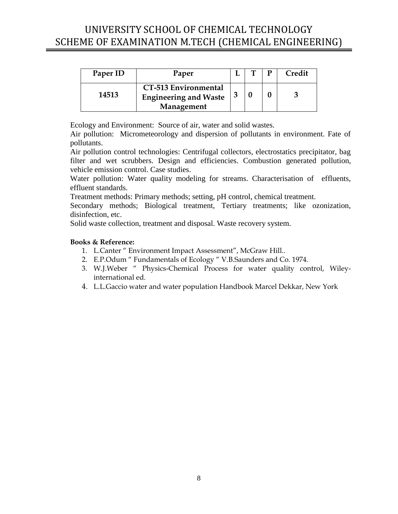<span id="page-7-0"></span>

| Paper ID | Paper                                                                     |  | Credit |
|----------|---------------------------------------------------------------------------|--|--------|
| 14513    | <b>CT-513 Environmental</b><br><b>Engineering and Waste</b><br>Management |  |        |

Ecology and Environment: Source of air, water and solid wastes.

Air pollution: Micrometeorology and dispersion of pollutants in environment. Fate of pollutants.

Air pollution control technologies: Centrifugal collectors, electrostatics precipitator, bag filter and wet scrubbers. Design and efficiencies. Combustion generated pollution, vehicle emission control. Case studies.

Water pollution: Water quality modeling for streams. Characterisation of effluents, effluent standards.

Treatment methods: Primary methods; setting, pH control, chemical treatment.

Secondary methods; Biological treatment, Tertiary treatments; like ozonization, disinfection, etc.

Solid waste collection, treatment and disposal. Waste recovery system.

- 1. L.Canter " Environment Impact Assessment", McGraw Hill..
- 2. E.P.Odum " Fundamentals of Ecology " V.B.Saunders and Co. 1974.
- 3. W.J.Weber " Physics-Chemical Process for water quality control, Wileyinternational ed.
- 4. L.L.Gaccio water and water population Handbook Marcel Dekkar, New York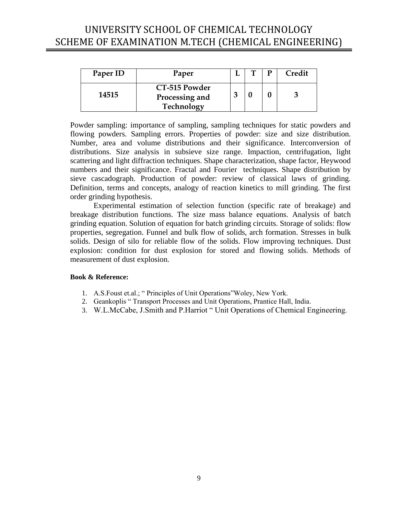<span id="page-8-0"></span>

| Paper ID | Paper                                         |  | D | <b>Credit</b> |
|----------|-----------------------------------------------|--|---|---------------|
| 14515    | CT-515 Powder<br>Processing and<br>Technology |  |   |               |

Powder sampling: importance of sampling, sampling techniques for static powders and flowing powders. Sampling errors. Properties of powder: size and size distribution. Number, area and volume distributions and their significance. Interconversion of distributions. Size analysis in subsieve size range. Impaction, centrifugation, light scattering and light diffraction techniques. Shape characterization, shape factor, Heywood numbers and their significance. Fractal and Fourier techniques. Shape distribution by sieve cascadograph. Production of powder: review of classical laws of grinding. Definition, terms and concepts, analogy of reaction kinetics to mill grinding. The first order grinding hypothesis.

Experimental estimation of selection function (specific rate of breakage) and breakage distribution functions. The size mass balance equations. Analysis of batch grinding equation. Solution of equation for batch grinding circuits. Storage of solids: flow properties, segregation. Funnel and bulk flow of solids, arch formation. Stresses in bulk solids. Design of silo for reliable flow of the solids. Flow improving techniques. Dust explosion: condition for dust explosion for stored and flowing solids. Methods of measurement of dust explosion.

- 1. A.S.Foust et.al.; " Principles of Unit Operations"Woley, New York.
- 2. Geankoplis " Transport Processes and Unit Operations, Prantice Hall, India.
- 3. W.L.McCabe, J.Smith and P.Harriot " Unit Operations of Chemical Engineering.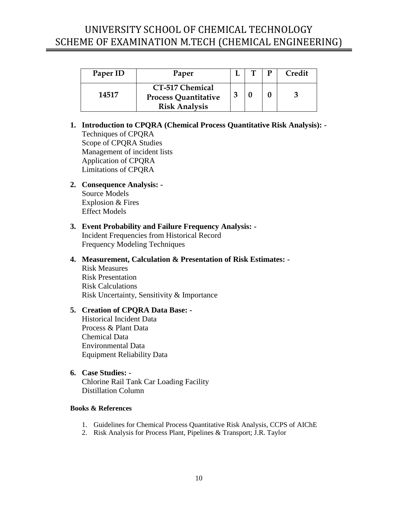<span id="page-9-0"></span>

| Paper ID | Paper                                                                         |  | Credit |
|----------|-------------------------------------------------------------------------------|--|--------|
| 14517    | <b>CT-517 Chemical</b><br><b>Process Quantitative</b><br><b>Risk Analysis</b> |  |        |

### **1. Introduction to CPQRA (Chemical Process Quantitative Risk Analysis): -** Techniques of CPQRA Scope of CPQRA Studies Management of incident lists Application of CPQRA Limitations of CPQRA

**2. Consequence Analysis: -** Source Models Explosion & Fires Effect Models

#### **3. Event Probability and Failure Frequency Analysis: -** Incident Frequencies from Historical Record Frequency Modeling Techniques

### **4. Measurement, Calculation & Presentation of Risk Estimates: -**

Risk Measures Risk Presentation Risk Calculations Risk Uncertainty, Sensitivity & Importance

### **5. Creation of CPQRA Data Base: -**

Historical Incident Data Process & Plant Data Chemical Data Environmental Data Equipment Reliability Data

#### **6. Case Studies: -**

Chlorine Rail Tank Car Loading Facility Distillation Column

- 1. Guidelines for Chemical Process Quantitative Risk Analysis, CCPS of AIChE
- 2. Risk Analysis for Process Plant, Pipelines & Transport; J.R. Taylor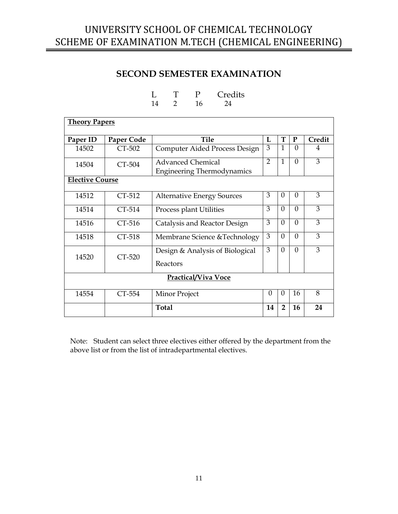### **SECOND SEMESTER EXAMINATION**

<span id="page-10-0"></span>

|                        |            |              | T                             | $\mathbf{P}$               | Credits                           |                |                |           |                |
|------------------------|------------|--------------|-------------------------------|----------------------------|-----------------------------------|----------------|----------------|-----------|----------------|
|                        |            | 14           | $\overline{2}$                | 16                         | 24                                |                |                |           |                |
| <b>Theory Papers</b>   |            |              |                               |                            |                                   |                |                |           |                |
|                        |            |              |                               |                            |                                   |                |                |           |                |
| Paper ID               | Paper Code |              |                               | <b>Tile</b>                |                                   | L              | T              | ${\bf P}$ | Credit         |
| 14502                  | CT-502     |              |                               |                            | Computer Aided Process Design     | 3              | $\mathbf{1}$   | $\Omega$  | 4              |
| 14504                  | CT-504     |              |                               | <b>Advanced Chemical</b>   |                                   | 2              | $\mathbf{1}$   | $\Omega$  | 3              |
|                        |            |              |                               |                            | <b>Engineering Thermodynamics</b> |                |                |           |                |
| <b>Elective Course</b> |            |              |                               |                            |                                   |                |                |           |                |
|                        |            |              |                               |                            |                                   |                |                |           | 3              |
| 14512                  | CT-512     |              |                               |                            | <b>Alternative Energy Sources</b> | 3              | $\overline{0}$ | $\Omega$  |                |
| 14514                  | CT-514     |              | Process plant Utilities       |                            | 3                                 | $\theta$       | $\Omega$       | 3         |                |
| 14516                  | $CT-516$   |              |                               |                            | Catalysis and Reactor Design      | 3              | $\theta$       | $\theta$  | 3              |
| 14518                  | CT-518     |              | Membrane Science & Technology |                            |                                   | 3              | $\theta$       | $\Omega$  | 3              |
|                        |            |              |                               |                            | Design & Analysis of Biological   | $\overline{3}$ | $\theta$       | $\Omega$  | $\overline{3}$ |
| 14520                  | CT-520     |              |                               |                            |                                   |                |                |           |                |
|                        |            |              | Reactors                      |                            |                                   |                |                |           |                |
|                        |            |              |                               | <b>Practical/Viva Voce</b> |                                   |                |                |           |                |
|                        |            |              |                               |                            |                                   |                |                |           |                |
| 14554                  | CT-554     |              | Minor Project                 |                            |                                   | $\Omega$       | $\theta$       | 16        | 8              |
|                        |            | <b>Total</b> |                               |                            |                                   | 14             | $\overline{2}$ | 16        | 24             |

Note: Student can select three electives either offered by the department from the above list or from the list of intradepartmental electives.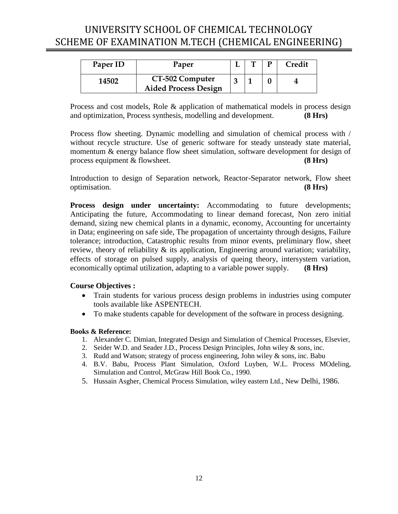<span id="page-11-0"></span>

| Paper ID | Paper                                          | ா | D | Credit |
|----------|------------------------------------------------|---|---|--------|
| 14502    | CT-502 Computer<br><b>Aided Process Design</b> |   |   |        |

Process and cost models, Role & application of mathematical models in process design and optimization, Process synthesis, modelling and development. **(8 Hrs)**

Process flow sheeting. Dynamic modelling and simulation of chemical process with / without recycle structure. Use of generic software for steady unsteady state material, momentum & energy balance flow sheet simulation, software development for design of process equipment & flowsheet. **(8 Hrs)**

Introduction to design of Separation network, Reactor-Separator network, Flow sheet optimisation. **(8 Hrs)**

**Process design under uncertainty:** Accommodating to future developments; Anticipating the future, Accommodating to linear demand forecast, Non zero initial demand, sizing new chemical plants in a dynamic, economy, Accounting for uncertainty in Data; engineering on safe side, The propagation of uncertainty through designs, Failure tolerance; introduction, Catastrophic results from minor events, preliminary flow, sheet review, theory of reliability & its application, Engineering around variation; variability, effects of storage on pulsed supply, analysis of queing theory, intersystem variation, economically optimal utilization, adapting to a variable power supply. **(8 Hrs)**

#### **Course Objectives :**

- Train students for various process design problems in industries using computer tools available like ASPENTECH.
- To make students capable for development of the software in process designing.

- 1. Alexander C. Dimian, Integrated Design and Simulation of Chemical Processes, Elsevier,
- 2. Seider W.D. and Seader J.D., Process Design Principles, John wiley & sons, inc.
- 3. Rudd and Watson; strategy of process engineering, John wiley & sons, inc. Babu
- 4. B.V. Babu, Process Plant Simulation, Oxford Luyben, W.L. Process MOdeling, Simulation and Control, McGraw Hill Book Co., 1990.
- 5. Hussain Asgher, Chemical Process Simulation, wiley eastern Ltd., New Delhi, 1986.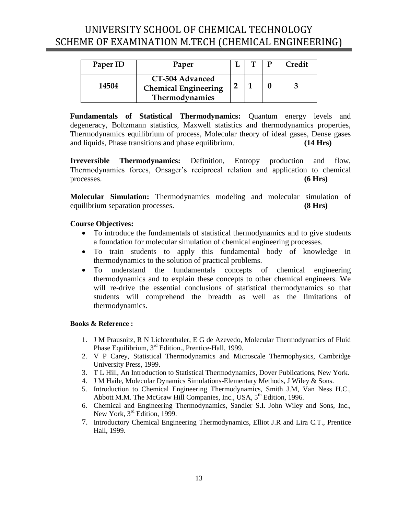<span id="page-12-0"></span>

| Paper ID | Paper                                                                   |  | Credit |
|----------|-------------------------------------------------------------------------|--|--------|
| 14504    | CT-504 Advanced<br><b>Chemical Engineering</b><br><b>Thermodynamics</b> |  |        |

**Fundamentals of Statistical Thermodynamics:** Quantum energy levels and degeneracy, Boltzmann statistics, Maxwell statistics and thermodynamics properties, Thermodynamics equilibrium of process, Molecular theory of ideal gases, Dense gases and liquids, Phase transitions and phase equilibrium. **(14 Hrs)**

**Irreversible Thermodynamics:** Definition, Entropy production and flow, Thermodynamics forces, Onsager's reciprocal relation and application to chemical processes. **(6 Hrs)**

**Molecular Simulation:** Thermodynamics modeling and molecular simulation of equilibrium separation processes. **(8 Hrs)**

### **Course Objectives:**

- To introduce the fundamentals of statistical thermodynamics and to give students a foundation for molecular simulation of chemical engineering processes.
- To train students to apply this fundamental body of knowledge in thermodynamics to the solution of practical problems.
- To understand the fundamentals concepts of chemical engineering thermodynamics and to explain these concepts to other chemical engineers. We will re-drive the essential conclusions of statistical thermodynamics so that students will comprehend the breadth as well as the limitations of thermodynamics.

- 1. J M Prausnitz, R N Lichtenthaler, E G de Azevedo, Molecular Thermodynamics of Fluid Phase Equilibrium, 3<sup>rd</sup> Edition., Prentice-Hall, 1999.
- 2. V P Carey, Statistical Thermodynamics and Microscale Thermophysics, Cambridge University Press, 1999.
- 3. T L Hill, An Introduction to Statistical Thermodynamics, Dover Publications, New York.
- 4. J M Haile, Molecular Dynamics Simulations-Elementary Methods, J Wiley & Sons.
- 5. Introduction to Chemical Engineering Thermodynamics, Smith J.M, Van Ness H.C., Abbott M.M. The McGraw Hill Companies, Inc., USA, 5<sup>th</sup> Edition, 1996.
- 6. Chemical and Engineering Thermodynamics, Sandler S.I. John Wiley and Sons, Inc., New York, 3<sup>rd</sup> Edition, 1999.
- 7. Introductory Chemical Engineering Thermodynamics, Elliot J.R and Lira C.T., Prentice Hall, 1999.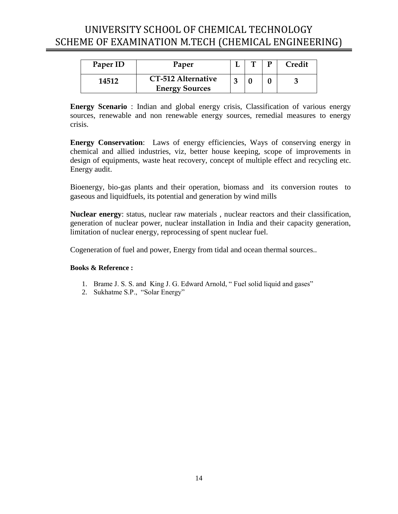<span id="page-13-0"></span>

| Paper ID | Paper                 |  | Credit |
|----------|-----------------------|--|--------|
| 14512    | CT-512 Alternative    |  |        |
|          | <b>Energy Sources</b> |  |        |

**Energy Scenario** : Indian and global energy crisis, Classification of various energy sources, renewable and non renewable energy sources, remedial measures to energy crisis.

**Energy Conservation**: Laws of energy efficiencies, Ways of conserving energy in chemical and allied industries, viz, better house keeping, scope of improvements in design of equipments, waste heat recovery, concept of multiple effect and recycling etc. Energy audit.

Bioenergy, bio-gas plants and their operation, biomass and its conversion routes to gaseous and liquidfuels, its potential and generation by wind mills

**Nuclear energy**: status, nuclear raw materials , nuclear reactors and their classification, generation of nuclear power, nuclear installation in India and their capacity generation, limitation of nuclear energy, reprocessing of spent nuclear fuel.

Cogeneration of fuel and power, Energy from tidal and ocean thermal sources..

- 1. Brame J. S. S. and King J. G. Edward Arnold, " Fuel solid liquid and gases"
- 2. Sukhatme S.P., "Solar Energy"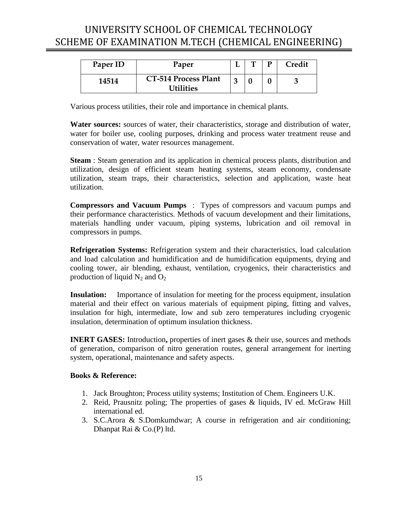<span id="page-14-0"></span>

| Paper ID | Paper                                    | ᡣ | D | Credit |
|----------|------------------------------------------|---|---|--------|
| 14514    | <b>CT-514 Process Plant</b><br>Utilities |   |   |        |

Various process utilities, their role and importance in chemical plants.

**Water sources:** sources of water, their characteristics, storage and distribution of water, water for boiler use, cooling purposes, drinking and process water treatment reuse and conservation of water, water resources management.

**Steam** : Steam generation and its application in chemical process plants, distribution and utilization, design of efficient steam heating systems, steam economy, condensate utilization, steam traps, their characteristics, selection and application, waste heat utilization.

**Compressors and Vacuum Pumps** : Types of compressors and vacuum pumps and their performance characteristics. Methods of vacuum development and their limitations, materials handling under vacuum, piping systems, lubrication and oil removal in compressors in pumps.

**Refrigeration Systems:** Refrigeration system and their characteristics, load calculation and load calculation and humidification and de humidification equipments, drying and cooling tower, air blending, exhaust, ventilation, cryogenics, their characteristics and production of liquid  $N_2$  and  $O_2$ 

**Insulation:** Importance of insulation for meeting for the process equipment, insulation material and their effect on various materials of equipment piping, fitting and valves, insulation for high, intermediate, low and sub zero temperatures including cryogenic insulation, determination of optimum insulation thickness.

**INERT GASES:** Introduction, properties of inert gases & their use, sources and methods of generation, comparison of nitro generation routes, general arrangement for inerting system, operational, maintenance and safety aspects.

- 1. Jack Broughton; Process utility systems; Institution of Chem. Engineers U.K.
- 2. Reid, Prausnitz poling; The properties of gases & liquids, IV ed. McGraw Hill international ed.
- 3. S.C.Arora & S.Domkumdwar; A course in refrigeration and air conditioning; Dhanpat Rai & Co.(P) ltd.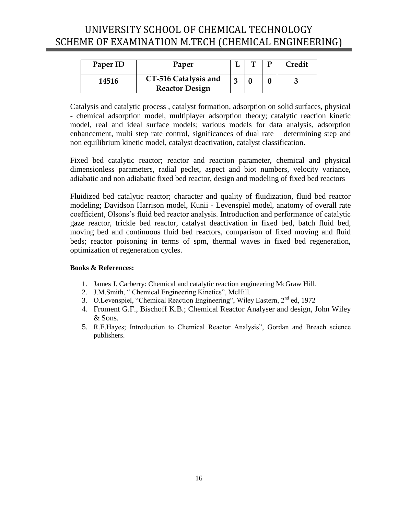<span id="page-15-0"></span>

| Paper ID | Paper                                         |  | Credit |
|----------|-----------------------------------------------|--|--------|
| 14516    | CT-516 Catalysis and<br><b>Reactor Design</b> |  |        |

Catalysis and catalytic process , catalyst formation, adsorption on solid surfaces, physical - chemical adsorption model, multiplayer adsorption theory; catalytic reaction kinetic model, real and ideal surface models; various models for data analysis, adsorption enhancement, multi step rate control, significances of dual rate – determining step and non equilibrium kinetic model, catalyst deactivation, catalyst classification.

Fixed bed catalytic reactor; reactor and reaction parameter, chemical and physical dimensionless parameters, radial peclet, aspect and biot numbers, velocity variance, adiabatic and non adiabatic fixed bed reactor, design and modeling of fixed bed reactors

Fluidized bed catalytic reactor; character and quality of fluidization, fluid bed reactor modeling; Davidson Harrison model, Kunii - Levenspiel model, anatomy of overall rate coefficient, Olsons's fluid bed reactor analysis. Introduction and performance of catalytic gaze reactor, trickle bed reactor, catalyst deactivation in fixed bed, batch fluid bed, moving bed and continuous fluid bed reactors, comparison of fixed moving and fluid beds; reactor poisoning in terms of spm, thermal waves in fixed bed regeneration, optimization of regeneration cycles.

- 1. James J. Carberry: Chemical and catalytic reaction engineering McGraw Hill.
- 2. J.M.Smith, " Chemical Engineering Kinetics", McHill.
- 3. O.Levenspiel, "Chemical Reaction Engineering", Wiley Eastern, 2<sup>nd</sup> ed, 1972
- 4. Froment G.F., Bischoff K.B.; Chemical Reactor Analyser and design, John Wiley & Sons.
- 5. R.E.Hayes; Introduction to Chemical Reactor Analysis", Gordan and Breach science publishers.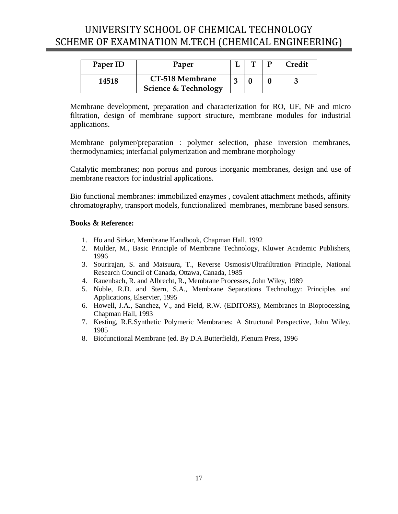<span id="page-16-0"></span>

| Paper ID | Paper                                              |  | Credit |
|----------|----------------------------------------------------|--|--------|
| 14518    | CT-518 Membrane<br><b>Science &amp; Technology</b> |  |        |

Membrane development, preparation and characterization for RO, UF, NF and micro filtration, design of membrane support structure, membrane modules for industrial applications.

Membrane polymer/preparation : polymer selection, phase inversion membranes, thermodynamics; interfacial polymerization and membrane morphology

Catalytic membranes; non porous and porous inorganic membranes, design and use of membrane reactors for industrial applications.

Bio functional membranes: immobilized enzymes , covalent attachment methods, affinity chromatography, transport models, functionalized membranes, membrane based sensors.

- 1. Ho and Sirkar, Membrane Handbook, Chapman Hall, 1992
- 2. Mulder, M., Basic Principle of Membrane Technology, Kluwer Academic Publishers, 1996
- 3. Sourirajan, S. and Matsuura, T., Reverse Osmosis/Ultrafiltration Principle, National Research Council of Canada, Ottawa, Canada, 1985
- 4. Rauenbach, R. and Albrecht, R., Membrane Processes, John Wiley, 1989
- 5. Noble, R.D. and Stern, S.A., Membrane Separations Technology: Principles and Applications, Elservier, 1995
- 6. Howell, J.A., Sanchez, V., and Field, R.W. (EDITORS), Membranes in Bioprocessing, Chapman Hall, 1993
- 7. Kesting, R.E.Synthetic Polymeric Membranes: A Structural Perspective, John Wiley, 1985
- 8. Biofunctional Membrane (ed. By D.A.Butterfield), Plenum Press, 1996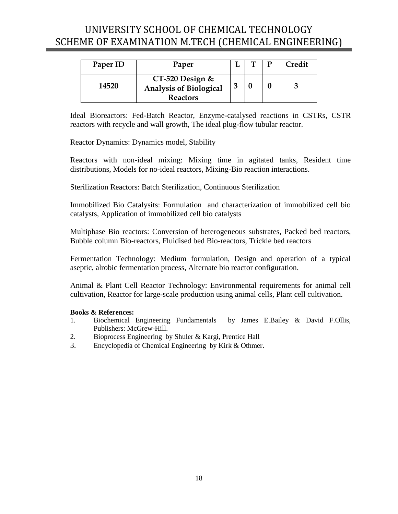<span id="page-17-0"></span>

| Paper ID | Paper                                                                 |  | <b>Credit</b> |
|----------|-----------------------------------------------------------------------|--|---------------|
| 14520    | $CT-520$ Design &<br><b>Analysis of Biological</b><br><b>Reactors</b> |  |               |

Ideal Bioreactors: Fed-Batch Reactor, Enzyme-catalysed reactions in CSTRs, CSTR reactors with recycle and wall growth, The ideal plug-flow tubular reactor.

Reactor Dynamics: Dynamics model, Stability

Reactors with non-ideal mixing: Mixing time in agitated tanks, Resident time distributions, Models for no-ideal reactors, Mixing-Bio reaction interactions.

Sterilization Reactors: Batch Sterilization, Continuous Sterilization

Immobilized Bio Catalysits: Formulation and characterization of immobilized cell bio catalysts, Application of immobilized cell bio catalysts

Multiphase Bio reactors: Conversion of heterogeneous substrates, Packed bed reactors, Bubble column Bio-reactors, Fluidised bed Bio-reactors, Trickle bed reactors

Fermentation Technology: Medium formulation, Design and operation of a typical aseptic, alrobic fermentation process, Alternate bio reactor configuration.

Animal & Plant Cell Reactor Technology: Environmental requirements for animal cell cultivation, Reactor for large-scale production using animal cells, Plant cell cultivation.

- 1. Biochemical Engineering Fundamentals by James E.Bailey & David F.Ollis, Publishers: McGrew-Hill.
- 2. Bioprocess Engineering by Shuler & Kargi, Prentice Hall
- 3. Encyclopedia of Chemical Engineering by Kirk & Othmer.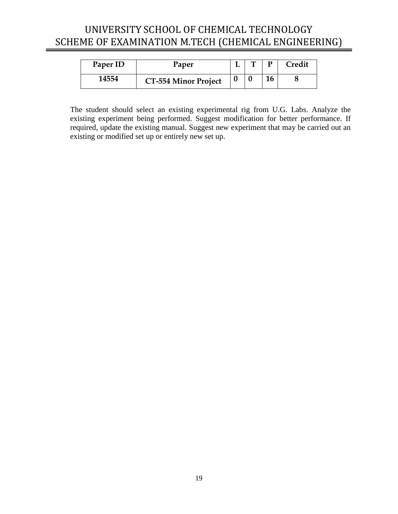<span id="page-18-0"></span>

| Paper ID | Paper                       |  |    | Credit |
|----------|-----------------------------|--|----|--------|
| 14554    | <b>CT-554 Minor Project</b> |  | 16 |        |

The student should select an existing experimental rig from U.G. Labs. Analyze the existing experiment being performed. Suggest modification for better performance. If required, update the existing manual. Suggest new experiment that may be carried out an existing or modified set up or entirely new set up.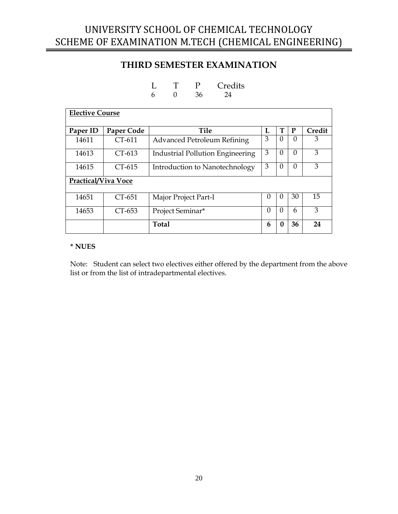### **THIRD SEMESTER EXAMINATION**

L T P Credits

<span id="page-19-0"></span>

|                            |            | 6            | $\Omega$         | 36                   | 24                                 |          |          |                |        |
|----------------------------|------------|--------------|------------------|----------------------|------------------------------------|----------|----------|----------------|--------|
| <b>Elective Course</b>     |            |              |                  |                      |                                    |          |          |                |        |
| Paper ID                   | Paper Code |              |                  | <b>Tile</b>          |                                    | L        | т        | P              | Credit |
| 14611                      | CT-611     |              |                  |                      | <b>Advanced Petroleum Refining</b> | 3        | $\theta$ | $\overline{0}$ | 3      |
| 14613                      | $CT-613$   |              |                  |                      | Industrial Pollution Engineering   | 3        | $\Omega$ | $\Omega$       | 3      |
| 14615                      | $CT-615$   |              |                  |                      | Introduction to Nanotechnology     | 3        | $\theta$ | $\theta$       | 3      |
| <b>Practical/Viva Voce</b> |            |              |                  |                      |                                    |          |          |                |        |
| 14651                      | CT-651     |              |                  | Major Project Part-I |                                    | $\Omega$ | $\Omega$ | 30             | 15     |
| 14653                      | CT-653     |              | Project Seminar* |                      |                                    | $\theta$ | $\theta$ | 6              | 3      |
|                            |            | <b>Total</b> |                  |                      |                                    | 6        | 0        | 36             | 24     |

#### **\* NUES**

Note: Student can select two electives either offered by the department from the above list or from the list of intradepartmental electives.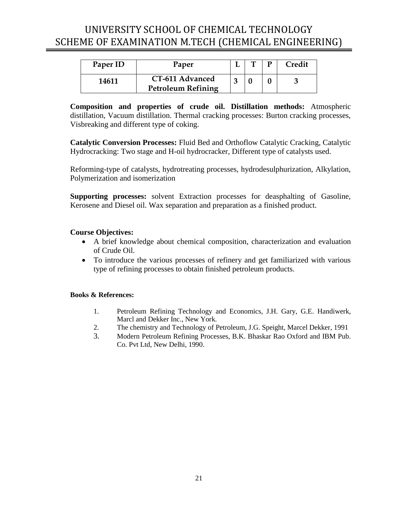<span id="page-20-0"></span>

| Paper ID | Paper                                        |  | Credit |
|----------|----------------------------------------------|--|--------|
| 14611    | CT-611 Advanced<br><b>Petroleum Refining</b> |  |        |

**Composition and properties of crude oil. Distillation methods:** Atmospheric distillation, Vacuum distillation. Thermal cracking processes: Burton cracking processes, Visbreaking and different type of coking.

**Catalytic Conversion Processes:** Fluid Bed and Orthoflow Catalytic Cracking, Catalytic Hydrocracking: Two stage and H-oil hydrocracker, Different type of catalysts used.

Reforming-type of catalysts, hydrotreating processes, hydrodesulphurization, Alkylation, Polymerization and isomerization

**Supporting processes:** solvent Extraction processes for deasphalting of Gasoline, Kerosene and Diesel oil. Wax separation and preparation as a finished product.

### **Course Objectives:**

- A brief knowledge about chemical composition, characterization and evaluation of Crude Oil.
- To introduce the various processes of refinery and get familiarized with various type of refining processes to obtain finished petroleum products.

- 1. Petroleum Refining Technology and Economics, J.H. Gary, G.E. Handiwerk, Marcl and Dekker Inc., New York.
- 2. The chemistry and Technology of Petroleum, J.G. Speight, Marcel Dekker, 1991
- 3. Modern Petroleum Refining Processes, B.K. Bhaskar Rao Oxford and IBM Pub. Co. Pvt Ltd, New Delhi, 1990.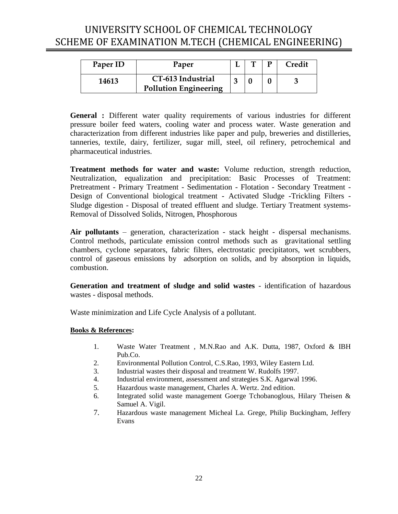<span id="page-21-0"></span>

| Paper ID | Paper                        | ᠇᠇ | Credit |
|----------|------------------------------|----|--------|
| 14613    | CT-613 Industrial            |    |        |
|          | <b>Pollution Engineering</b> |    |        |

**General :** Different water quality requirements of various industries for different pressure boiler feed waters, cooling water and process water. Waste generation and characterization from different industries like paper and pulp, breweries and distilleries, tanneries, textile, dairy, fertilizer, sugar mill, steel, oil refinery, petrochemical and pharmaceutical industries.

**Treatment methods for water and waste:** Volume reduction, strength reduction, Neutralization, equalization and precipitation: Basic Processes of Treatment: Pretreatment - Primary Treatment - Sedimentation - Flotation - Secondary Treatment - Design of Conventional biological treatment - Activated Sludge -Trickling Filters - Sludge digestion - Disposal of treated effluent and sludge. Tertiary Treatment systems-Removal of Dissolved Solids, Nitrogen, Phosphorous

**Air pollutants** – generation, characterization - stack height - dispersal mechanisms. Control methods, particulate emission control methods such as gravitational settling chambers, cyclone separators, fabric filters, electrostatic precipitators, wet scrubbers, control of gaseous emissions by adsorption on solids, and by absorption in liquids, combustion.

**Generation and treatment of sludge and solid wastes** - identification of hazardous wastes - disposal methods.

Waste minimization and Life Cycle Analysis of a pollutant.

- 1. Waste Water Treatment , M.N.Rao and A.K. Dutta, 1987, Oxford & IBH Pub.Co.
- 2. Environmental Pollution Control, C.S.Rao, 1993, Wiley Eastern Ltd.
- 3. Industrial wastes their disposal and treatment W. Rudolfs 1997.
- 4. Industrial environment, assessment and strategies S.K. Agarwal 1996.
- 5. Hazardous waste management, Charles A. Wertz. 2nd edition.
- 6. Integrated solid waste management Goerge Tchobanoglous, Hilary Theisen & Samuel A. Vigil.
- 7. Hazardous waste management Micheal La. Grege, Philip Buckingham, Jeffery Evans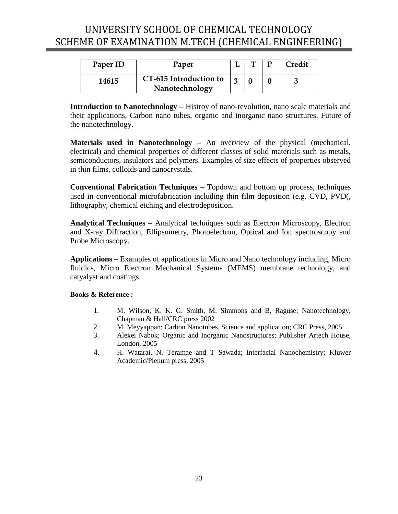<span id="page-22-0"></span>

| Paper ID | Paper                                    |  | D | Credit |
|----------|------------------------------------------|--|---|--------|
| 14615    | CT-615 Introduction to<br>Nanotechnology |  |   |        |

**Introduction to Nanotechnology –** Histroy of nano-revolution, nano scale materials and their applications, Carbon nano tubes, organic and inorganic nano structures. Future of the nanotechnology.

**Materials used in Nanotechnology –** An overview of the physical (mechanical, electrical) and chemical properties of different classes of solid materials such as metals, semiconductors, insulators and polymers. Examples of size effects of properties observed in thin films, colloids and nanocrystals.

**Conventional Fabrication Techniques –** Topdown and bottom up process, techniques used in conventional microfabrication including thin film deposition (e.g. CVD, PVD(, lithography, chemical etching and electrodeposition.

**Analytical Techniques –** Analytical techniques such as Electron Microscopy, Electron and X-ray Diffraction, Ellipsometry, Photoelectron, Optical and Ion spectroscopy and Probe Microscopy.

**Applications –** Examples of applications in Micro and Nano technology including, Micro fluidics, Micro Electron Mechanical Systems (MEMS) membrane technology, and catyalyst and coatings

- 1. M. Wilson, K. K. G. Smith, M. Simmons and B, Raguse; Nanotechnology, Chapman & Hall/CRC press 2002
- 2. M. Meyyappan; Carbon Nanotubes, Science and application; CRC Press, 2005
- 3. Alexei Nabok; Organic and Inorganic Nanostructures; Publisher Artech House, London, 2005
- 4. H. Watarai, N. Teramae and T Sawada; Interfacial Nanochemistry; Kluwer Academic/Plenum press, 2005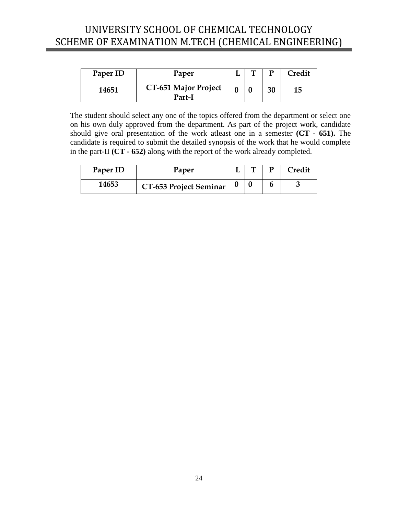<span id="page-23-0"></span>

| Paper ID | Paper                                 | ௱ | D  | Credit |
|----------|---------------------------------------|---|----|--------|
| 14651    | <b>CT-651 Major Project</b><br>Part-I |   | 30 | 15     |

The student should select any one of the topics offered from the department or select one on his own duly approved from the department. As part of the project work, candidate should give oral presentation of the work atleast one in a semester **(CT - 651).** The candidate is required to submit the detailed synopsis of the work that he would complete in the part-II **(CT - 652)** along with the report of the work already completed.

| Paper ID | Paper                         |  | <b>Tredit</b> |
|----------|-------------------------------|--|---------------|
| 14653    | <b>CT-653 Project Seminar</b> |  |               |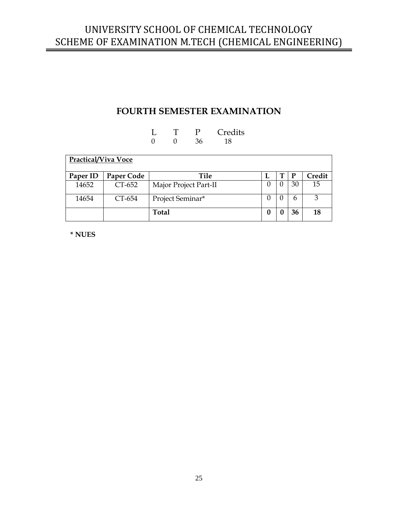### **FOURTH SEMESTER EXAMINATION**

### L T P Credits<br>0 0 36 18 36

<span id="page-24-0"></span>

| <b>Practical/Viva Voce</b> |            |                       |          |          |              |        |  |
|----------------------------|------------|-----------------------|----------|----------|--------------|--------|--|
| Paper ID                   | Paper Code | Tile                  | L        | т        | $\mathbf{P}$ | Credit |  |
| 14652                      | CT-652     | Major Project Part-II | $\theta$ | $\theta$ | 30           | 15     |  |
| 14654                      | CT-654     | Project Seminar*      | $\theta$ | $\theta$ | 6            | 3      |  |
|                            |            | <b>Total</b>          | 0        |          | 36           | 18     |  |

**\* NUES**